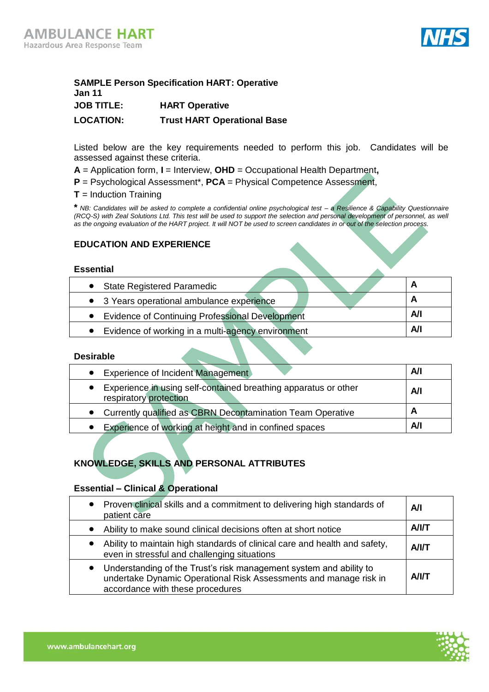

## **SAMPLE Person Specification HART: Operative Jan 11 JOB TITLE: HART Operative LOCATION: Trust HART Operational Base**

Listed below are the key requirements needed to perform this job. Candidates will be assessed against these criteria.

- **A** = Application form, **I** = Interview, **OHD** = Occupational Health Department**,**
- **P** = Psychological Assessment\*, **PCA** = Physical Competence Assessment,
- **T** = Induction Training

**\*** *NB: Candidates will be asked to complete a confidential online psychological test – a Resilience & Capability Questionnaire (RCQ-S) with Zeal Solutions Ltd. This test will be used to support the selection and personal development of personnel, as well as the ongoing evaluation of the HART project. It will NOT be used to screen candidates in or out of the selection process.*

### **EDUCATION AND EXPERIENCE**

#### **Essential**

| • State Registered Paramedic                           |     |
|--------------------------------------------------------|-----|
| • 3 Years operational ambulance experience             |     |
| <b>Evidence of Continuing Professional Development</b> | Α⁄Ι |
| Evidence of working in a multi-agency environment      | Αll |
|                                                        |     |

#### **Desirable**

| Experience of Incident Management                                                         | Α⁄Ι |
|-------------------------------------------------------------------------------------------|-----|
| Experience in using self-contained breathing apparatus or other<br>respiratory protection | A/I |
| • Currently qualified as CBRN Decontamination Team Operative                              |     |
| Experience of working at height and in confined spaces                                    | A/I |

# **KNOWLEDGE, SKILLS AND PERSONAL ATTRIBUTES**

### **Essential – Clinical & Operational**

| • Proven clinical skills and a commitment to delivering high standards of<br>patient care                                                                                                | A/I          |
|------------------------------------------------------------------------------------------------------------------------------------------------------------------------------------------|--------------|
| Ability to make sound clinical decisions often at short notice<br>$\bullet$                                                                                                              | <b>A/I/T</b> |
| Ability to maintain high standards of clinical care and health and safety,<br>$\bullet$<br>even in stressful and challenging situations                                                  | <b>A/I/T</b> |
| Understanding of the Trust's risk management system and ability to<br>$\bullet$<br>undertake Dynamic Operational Risk Assessments and manage risk in<br>accordance with these procedures | <b>A/I/T</b> |

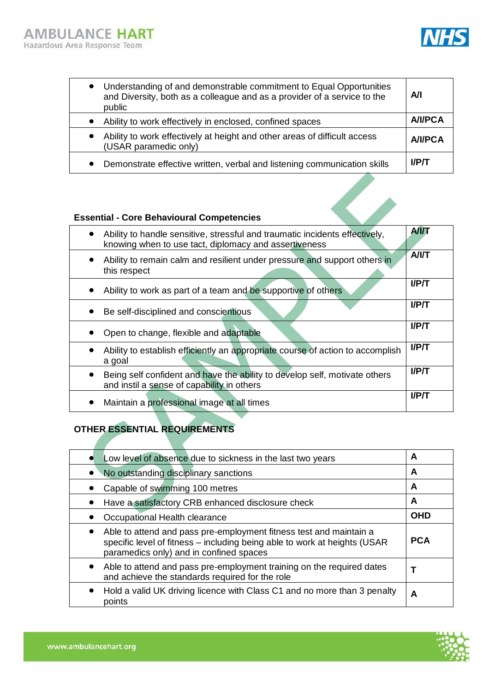

| $\bullet$ | Understanding of and demonstrable commitment to Equal Opportunities<br>and Diversity, both as a colleague and as a provider of a service to the<br>public | A/I            |
|-----------|-----------------------------------------------------------------------------------------------------------------------------------------------------------|----------------|
|           | Ability to work effectively in enclosed, confined spaces                                                                                                  | <b>A/I/PCA</b> |
| $\bullet$ | Ability to work effectively at height and other areas of difficult access<br>(USAR paramedic only)                                                        | <b>A/I/PCA</b> |
|           | Demonstrate effective written, verbal and listening communication skills                                                                                  | <b>I/P/T</b>   |

### **Essential - Core Behavioural Competencies**

| Ability to handle sensitive, stressful and traumatic incidents effectively,<br>knowing when to use tact, diplomacy and assertiveness  | <b>A/I/T</b> |
|---------------------------------------------------------------------------------------------------------------------------------------|--------------|
| Ability to remain calm and resilient under pressure and support others in<br>$\bullet$<br>this respect                                | <b>A/I/T</b> |
| Ability to work as part of a team and be supportive of others                                                                         | <b>I/P/T</b> |
| Be self-disciplined and conscientious                                                                                                 | UP/T         |
| Open to change, flexible and adaptable                                                                                                | UP/T         |
| Ability to establish efficiently an appropriate course of action to accomplish<br>a goal                                              | $I$ / $PI$   |
| Being self confident and have the ability to develop self, motivate others<br>$\bullet$<br>and instil a sense of capability in others | <b>I/P/T</b> |
| Maintain a professional image at all times                                                                                            | $I$ /P/T     |

# **OTHER ESSENTIAL REQUIREMENTS**

| Low level of absence due to sickness in the last two years                                                                                                                                 | A          |
|--------------------------------------------------------------------------------------------------------------------------------------------------------------------------------------------|------------|
| No outstanding disciplinary sanctions                                                                                                                                                      | A          |
| Capable of swimming 100 metres                                                                                                                                                             | A          |
| Have a satisfactory CRB enhanced disclosure check                                                                                                                                          | A          |
| Occupational Health clearance                                                                                                                                                              | <b>OHD</b> |
| Able to attend and pass pre-employment fitness test and maintain a<br>specific level of fitness – including being able to work at heights (USAR<br>paramedics only) and in confined spaces | <b>PCA</b> |
| Able to attend and pass pre-employment training on the required dates<br>and achieve the standards required for the role                                                                   |            |
| Hold a valid UK driving licence with Class C1 and no more than 3 penalty<br>points                                                                                                         | A          |